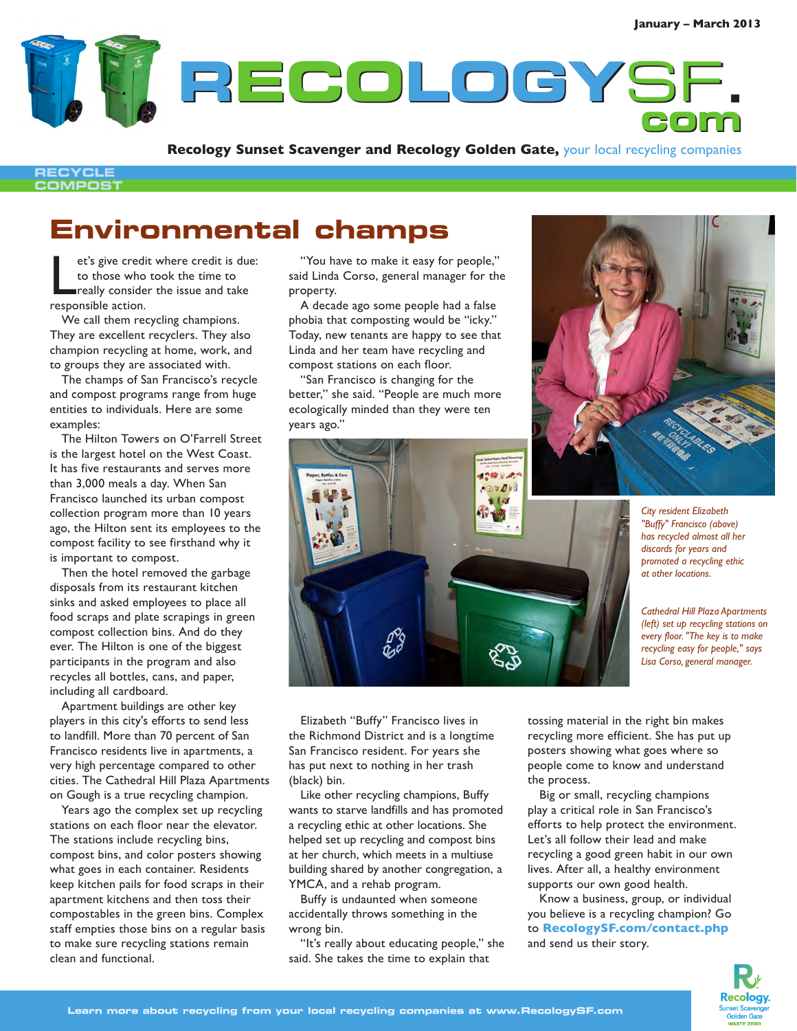**RECOLOGY ECOLOGY**SF**. com**

**Recology Sunset Scavenger and Recology Golden Gate,** your local recycling companies

## **RECYCLE COMPOST**

## **Environmental champs**

et's give credito to those who<br>really conside<br>responsible action. et's give credit where credit is due: to those who took the time to really consider the issue and take

We call them recycling champions. They are excellent recyclers. They also champion recycling at home, work, and to groups they are associated with.

The champs of San Francisco's recycle and compost programs range from huge entities to individuals. Here are some examples:

The Hilton Towers on O'Farrell Street is the largest hotel on the West Coast. It has five restaurants and serves more than 3,000 meals a day. When San Francisco launched its urban compost collection program more than 10 years ago, the Hilton sent its employees to the compost facility to see firsthand why it is important to compost.

Then the hotel removed the garbage disposals from its restaurant kitchen sinks and asked employees to place all food scraps and plate scrapings in green compost collection bins. And do they ever. The Hilton is one of the biggest participants in the program and also recycles all bottles, cans, and paper, including all cardboard.

Apartment buildings are other key players in this city's efforts to send less to landfill. More than 70 percent of San Francisco residents live in apartments, a very high percentage compared to other cities. The Cathedral Hill Plaza Apartments on Gough is a true recycling champion.

Years ago the complex set up recycling stations on each floor near the elevator. The stations include recycling bins, compost bins, and color posters showing what goes in each container. Residents keep kitchen pails for food scraps in their apartment kitchens and then toss their compostables in the green bins. Complex staff empties those bins on a regular basis to make sure recycling stations remain clean and functional.

"You have to make it easy for people," said Linda Corso, general manager for the property.

A decade ago some people had a false phobia that composting would be "icky." Today, new tenants are happy to see that Linda and her team have recycling and compost stations on each floor.

'San Francisco is changing for the better," she said. "People are much more ecologically minded than they were ten years ago."



*City resident Elizabeth "Buffy" Francisco (above) has recycled almost all her discards for years and promoted a recycling ethic at other locations.*

*Cathedral Hill Plaza Apartments (left) set up recycling stations on every floor. "The key is to make recycling easy for people," says Lisa Corso, general manager.*

Elizabeth "Buffy" Francisco lives in the Richmond District and is a longtime San Francisco resident. For years she has put next to nothing in her trash (black) bin.

Like other recycling champions, Buffy wants to starve landfills and has promoted a recycling ethic at other locations. She helped set up recycling and compost bins at her church, which meets in a multiuse building shared by another congregation, a YMCA, and a rehab program.

Buffy is undaunted when someone accidentally throws something in the wrong bin.

"It's really about educating people," she said. She takes the time to explain that

tossing material in the right bin makes recycling more efficient. She has put up posters showing what goes where so people come to know and understand the process.

Big or small, recycling champions play a critical role in San Francisco's efforts to help protect the environment. Let's all follow their lead and make recycling a good green habit in our own lives. After all, a healthy environment supports our own good health.

Know a business, group, or individual you believe is a recycling champion? Go to **RecologySF.com/contact.php** and send us their story.